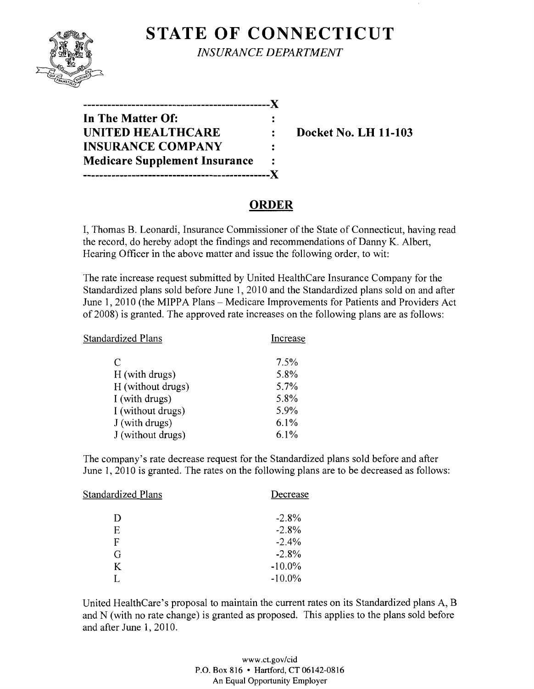

# **STATE OF CONNECTICUT** *INSURANCE DEPARTMENT*

| ----------                           |  |
|--------------------------------------|--|
| In The Matter Of:                    |  |
| <b>UNITED HEALTHCARE</b>             |  |
| <b>INSURANCE COMPANY</b>             |  |
| <b>Medicare Supplement Insurance</b> |  |
|                                      |  |

**Docket No. LH 11-103** 

## **ORDER**

I, Thomas B. Leonardi, Insurance Commissioner of the State of Connecticut, having read the record, do hereby adopt the findings and recommendations of Danny K. Albert, Hearing Officer in the above matter and issue the following order, to wit:

The rate increase request submitted by United HealthCare Insurance Company for the Standardized plans sold before June 1, 2010 and the Standardized plans sold on and after June 1, 2010 (the MIPPA Plans - Medicare Improvements for Patients and Providers Act of 2008) is granted. The approved rate increases on the following plans are as follows:

| Standardized Plans | Increase |
|--------------------|----------|
| C                  | 7.5%     |
| H (with drugs)     | 5.8%     |
| H (without drugs)  | 5.7%     |
| I (with drugs)     | 5.8%     |
| I (without drugs)  | 5.9%     |
| J (with drugs)     | 6.1%     |
| J (without drugs)  | 6.1%     |
|                    |          |

The company's rate decrease request for the Standardized plans sold before and after June 1, 2010 is granted. The rates on the following plans are to be decreased as follows:

| Standardized Plans | Decrease  |
|--------------------|-----------|
| D                  | $-2.8%$   |
| Е                  | $-2.8%$   |
| F                  | $-2.4%$   |
| G                  | $-2.8%$   |
| K                  | $-10.0\%$ |
|                    | $-10.0\%$ |
|                    |           |

United HealthCare's proposal to maintain the current rates on its Standardized plans A, B and N (with no rate change) is granted as proposed. This applies to the plans sold before and after June 1,2010.

> www.ct.gov/cid P.O. Box 816 • Hartford, CT 06142-0816 An Equal Opportunity Employer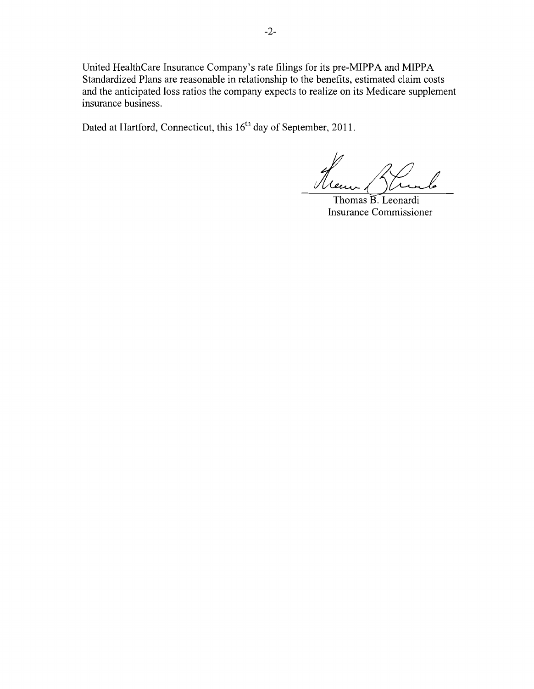United HealthCare Insurance Company's rate filings for its pre-MIPPA and MIPPA Standardized Plans are reasonable in relationship to the benefits, estimated claim costs and the anticipated loss ratios the company expects to realize on its Medicare supplement insurance business.

Dated at Hartford, Connecticut, this 16<sup>th</sup> day of September, 2011.

Thomas B. Leonardi Insurance Commissioner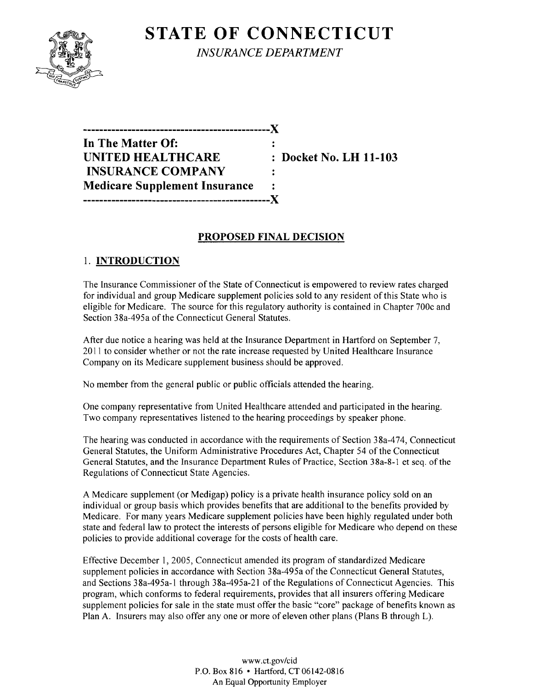

**STATE OF CONNECTICUT** *INSURANCE DEPARTMENT* 

**----------------------------------------------)( In The Matter Of: UNITED HEALTHCARE : Docket No. LH 11-103 INSURANCE COMPANY Medicare Supplement Insurance ----------------------------------------------)(** 

## **PROPOSED FINAL DECISION**

## 1. **INTRODUCTION**

The Insurance Commissioner of the State of Connecticut is empowered to review rates charged for individual and group Medicare supplement policies sold to any resident of this State who is eligible for Medicare. The source for this regulatory authority is contained in Chapter 700c and Section 38a-495a of the Connecticut General Statutes.

After due notice a hearing was held at the Insurance Department in Hartford on September 7, 2011 to consider whether or not the rate increase requested by United Healthcare Insurance Company on its Medicare supplement business should be approved.

No member from the general public or public officials attended the hearing.

One company representative from United Healthcare attended and participated in the hearing. Two company representatives listened to the hearing proceedings by speaker phone.

The hearing was conducted in accordance with the requirements of Section 38a-474, Connecticut General Statutes, the Uniform Administrative Procedures Act, Chapter 54 of the Connecticut General Statutes, and the Insurance Department Rules of Practice, Section 38a-8-1 et seq. of the Regulations of Connecticut State Agencies.

A Medicare supplement (or Medigap) policy is a private health insurance policy sold on an individual or group basis which provides benefits that are additional to the benefits provided by Medicare. For many years Medicare supplement policies have been highly regulated under both state and federal law to protect the interests of persons eligible for Medicare who depend on these policies to provide additional coverage for the costs of health care.

Effective December I, 2005, Connecticut amended its program of standardized Medicare supplement policies in accordance with Section 38a-495a of the Connecticut General Statutes, and Sections 38a-495a-l through 38a-495a-21 of the Regulations of Connecticut Agencies. This program, which conforms to federal requirements, provides that all insurers offering Medicare supplement policies for sale in the state must offer the basic "core" package of benefits known as Plan A. Insurers may also offer anyone or more of eleven other plans (Plans B through L).

> www.ct.gov/cid P.O. Box 816 • Hartford, CT 06142-0816 An Equal Opportunity Employer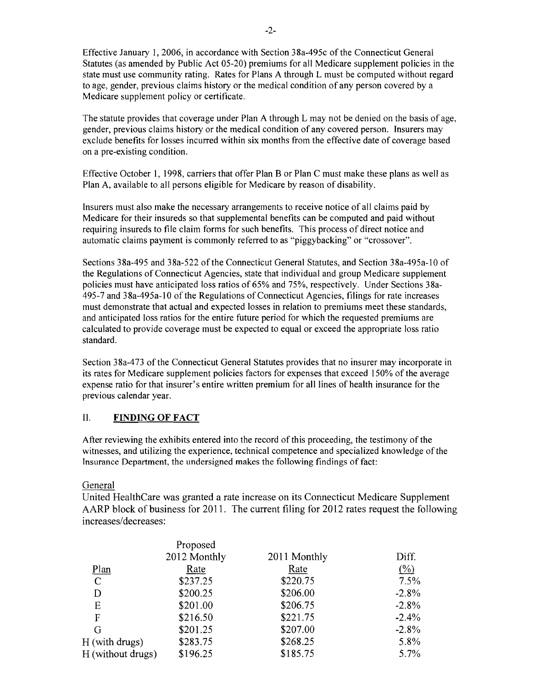Effective January 1,2006, in accordance with Section 38a-495c ofthe Connecticut General Statutes (as amended by Public Act 05-20) premiums for all Medicare supplement policies in the state must use community rating. Rates for Plans A through L must be computed without regard to age, gender, previous claims history or the medical condition of any person covered by a Medicare supplement policy or certificate.

The statute provides that coverage under Plan A through L may not be denied on the basis of age, gender, previous claims history or the medical condition of any covered person. Insurers may exclude benefits for losses incurred within six months from the effective date of coverage based on a pre-existing condition.

Effective October I, 1998, carriers that offer Plan B or Plan C must make these plans as well as Plan A, available to all persons eligible for Medicare by reason of disability.

Insurers must also make the necessary arrangements to receive notice of all claims paid by Medicare for their insureds so that supplemental benefits can be computed and paid without requiring insureds to file claim forms for such benefits. This process of direct notice and automatic claims payment is commonly referred to as "piggybacking" or "crossover".

Sections 38a-495 and 38a-522 of the Connecticut General Statutes, and Section 38a-495a-10 of the Regulations of Connecticut Agencies, state that individual and group Medicare supplement policies must have anticipated loss ratios of 65% and 75%, respectively. Under Sections 38a-495-7 and 38a-495a-1 0 ofthe Regulations ofConnecticut Agencies, filings for rate increases must demonstrate that actual and expected losses in relation to premiums meet these standards, and anticipated loss ratios for the entire future period for which the requested premiums are calculated to provide coverage must be expected to equal or exceed the appropriate loss ratio standard.

Section 38a-473 of the Connecticut General Statutes provides that no insurer may incorporate in its rates for Medicare supplement policies factors for expenses that exceed 150% of the average expense ratio for that insurer's entire written premium for all lines of health insurance for the previous calendar year.

#### II. **FINDING OF FACT**

After reviewing the exhibits entered into the record of this proceeding, the testimony of the witnesses, and utilizing the experience, technical competence and specialized knowledge of the Insurance Department, the undersigned makes the following findings of fact:

#### General

United HealthCare was granted a rate increase on its Connecticut Medicare Supplement AARP block of business for 2011. The current filing for 2012 rates request the following increases/decreases:

|                   | Proposed     |              |                     |
|-------------------|--------------|--------------|---------------------|
|                   | 2012 Monthly | 2011 Monthly | Diff.               |
| Plan              | Rate         | Rate         | $\frac{(\%)}{(\%)}$ |
| $\mathbf C$       | \$237.25     | \$220.75     | 7.5%                |
| D                 | \$200.25     | \$206.00     | $-2.8%$             |
| Ε                 | \$201.00     | \$206.75     | $-2.8%$             |
| F                 | \$216.50     | \$221.75     | $-2.4%$             |
| G                 | \$201.25     | \$207.00     | $-2.8%$             |
| H (with drugs)    | \$283.75     | \$268.25     | 5.8%                |
| H (without drugs) | \$196.25     | \$185.75     | 5.7%                |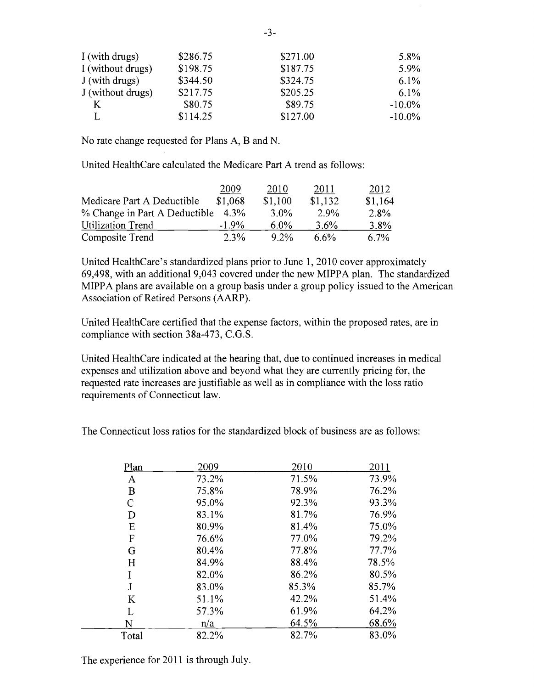| I (with drugs)    | \$286.75 | \$271.00 | 5.8%      |
|-------------------|----------|----------|-----------|
| I (without drugs) | \$198.75 | \$187.75 | 5.9%      |
| J (with drugs)    | \$344.50 | \$324.75 | $6.1\%$   |
| J (without drugs) | \$217.75 | \$205.25 | $6.1\%$   |
| K                 | \$80.75  | \$89.75  | $-10.0\%$ |
|                   | \$114.25 | \$127.00 | $-10.0\%$ |

No rate change requested for Plans A, Band N.

United HealthCare calculated the Medicare Part A trend as follows:

|                               | 2009     | 2010    | 2011    | 2012    |
|-------------------------------|----------|---------|---------|---------|
| Medicare Part A Deductible    | \$1,068  | \$1,100 | \$1,132 | \$1,164 |
| % Change in Part A Deductible | 4.3%     | $3.0\%$ | 2.9%    | 2.8%    |
| Utilization Trend             | $-1.9\%$ | $6.0\%$ | $3.6\%$ | 3.8%    |
| Composite Trend               | 2.3%     | $9.2\%$ | $6.6\%$ | $6.7\%$ |

United HealthCare's standardized plans prior to June 1,2010 cover approximately 69,498, with an additional 9,043 covered under the new MIPPA plan. The standardized MIPPA plans are available on a group basis under a group policy issued to the American Association of Retired Persons (AARP).

United HealthCare certified that the expense factors, within the proposed rates, are in compliance with section 38a-473, C.G.S.

United HealthCare indicated at the hearing that, due to continued increases in medical expenses and utilization above and beyond what they are currently pricing for, the requested rate increases are justifiable as well as in compliance with the loss ratio requirements of Connecticut law.

The Connecticut loss ratios for the standardized block of business are as follows:

| Plan  | 2009  | 2010  | 2011  |
|-------|-------|-------|-------|
| A     | 73.2% | 71.5% | 73.9% |
| B     | 75.8% | 78.9% | 76.2% |
| C     | 95.0% | 92.3% | 93.3% |
| D     | 83.1% | 81.7% | 76.9% |
| E     | 80.9% | 81.4% | 75.0% |
| F     | 76.6% | 77.0% | 79.2% |
| G     | 80.4% | 77.8% | 77.7% |
| H     | 84.9% | 88.4% | 78.5% |
|       | 82.0% | 86.2% | 80.5% |
| J     | 83.0% | 85.3% | 85.7% |
| K     | 51.1% | 42.2% | 51.4% |
| L     | 57.3% | 61.9% | 64.2% |
| N     | n/a   | 64.5% | 68.6% |
| Total | 82.2% | 82.7% | 83.0% |

The experience for 2011 is through July.